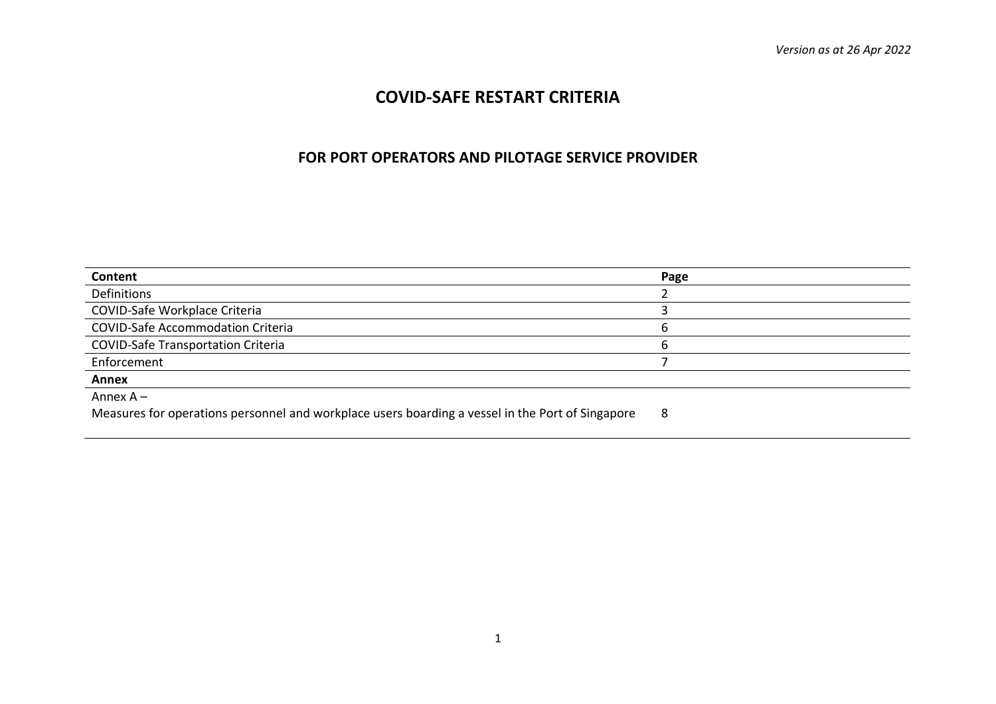# **COVID-SAFE RESTART CRITERIA**

## **FOR PORT OPERATORS AND PILOTAGE SERVICE PROVIDER**

| Content                                                                                          | Page |
|--------------------------------------------------------------------------------------------------|------|
| Definitions                                                                                      |      |
| COVID-Safe Workplace Criteria                                                                    |      |
| <b>COVID-Safe Accommodation Criteria</b>                                                         |      |
| <b>COVID-Safe Transportation Criteria</b>                                                        |      |
| Enforcement                                                                                      |      |
| <b>Annex</b>                                                                                     |      |
| Annex $A -$                                                                                      |      |
| Measures for operations personnel and workplace users boarding a vessel in the Port of Singapore | 8    |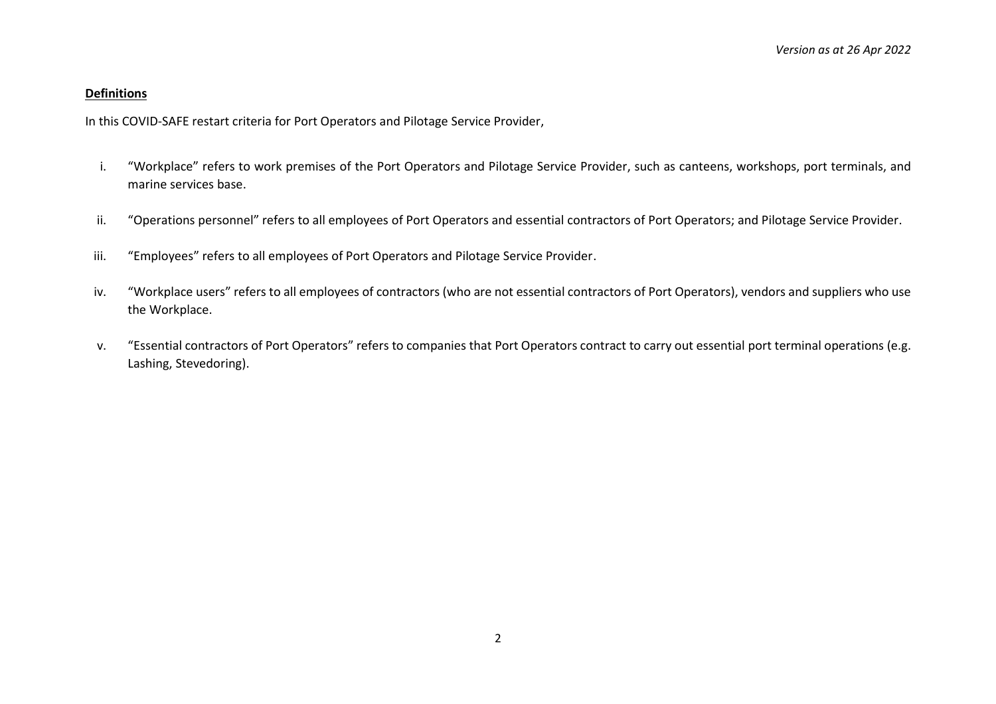## **Definitions**

In this COVID-SAFE restart criteria for Port Operators and Pilotage Service Provider,

- i. "Workplace" refers to work premises of the Port Operators and Pilotage Service Provider, such as canteens, workshops, port terminals, and marine services base.
- ii. "Operations personnel" refers to all employees of Port Operators and essential contractors of Port Operators; and Pilotage Service Provider.
- iii. "Employees" refers to all employees of Port Operators and Pilotage Service Provider.
- iv. "Workplace users" refers to all employees of contractors (who are not essential contractors of Port Operators), vendors and suppliers who use the Workplace.
- v. "Essential contractors of Port Operators" refers to companies that Port Operators contract to carry out essential port terminal operations (e.g. Lashing, Stevedoring).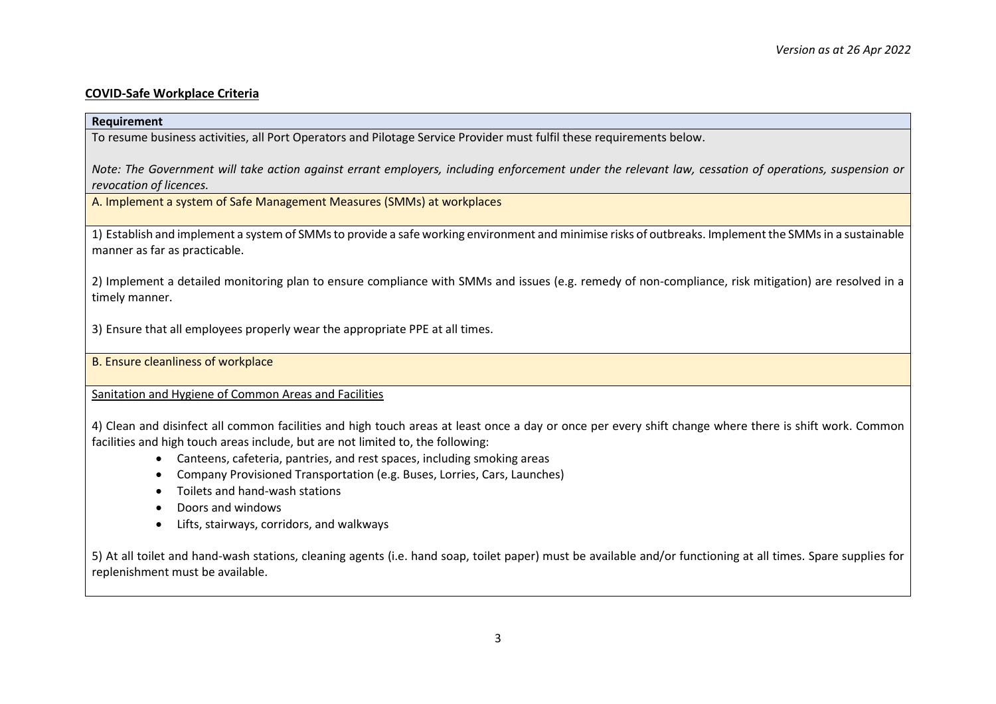## **COVID-Safe Workplace Criteria**

#### **Requirement**

To resume business activities, all Port Operators and Pilotage Service Provider must fulfil these requirements below.

*Note: The Government will take action against errant employers, including enforcement under the relevant law, cessation of operations, suspension or revocation of licences.*

A. Implement a system of Safe Management Measures (SMMs) at workplaces

1) Establish and implement a system of SMMs to provide a safe working environment and minimise risks of outbreaks. Implement the SMMs in a sustainable manner as far as practicable.

2) Implement a detailed monitoring plan to ensure compliance with SMMs and issues (e.g. remedy of non-compliance, risk mitigation) are resolved in a timely manner.

3) Ensure that all employees properly wear the appropriate PPE at all times.

B. Ensure cleanliness of workplace

Sanitation and Hygiene of Common Areas and Facilities

4) Clean and disinfect all common facilities and high touch areas at least once a day or once per every shift change where there is shift work. Common facilities and high touch areas include, but are not limited to, the following:

- Canteens, cafeteria, pantries, and rest spaces, including smoking areas
- Company Provisioned Transportation (e.g. Buses, Lorries, Cars, Launches)
- Toilets and hand-wash stations
- Doors and windows
- Lifts, stairways, corridors, and walkways

5) At all toilet and hand-wash stations, cleaning agents (i.e. hand soap, toilet paper) must be available and/or functioning at all times. Spare supplies for replenishment must be available.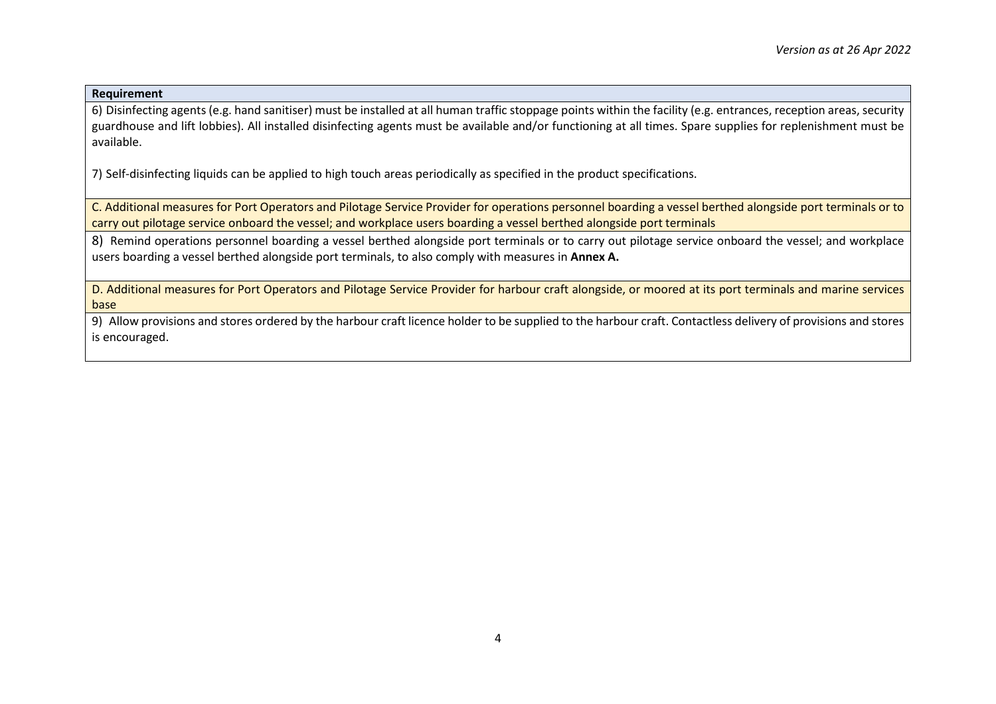### **Requirement**

6) Disinfecting agents (e.g. hand sanitiser) must be installed at all human traffic stoppage points within the facility (e.g. entrances, reception areas, security guardhouse and lift lobbies). All installed disinfecting agents must be available and/or functioning at all times. Spare supplies for replenishment must be available.

7) Self-disinfecting liquids can be applied to high touch areas periodically as specified in the product specifications.

C. Additional measures for Port Operators and Pilotage Service Provider for operations personnel boarding a vessel berthed alongside port terminals or to carry out pilotage service onboard the vessel; and workplace users boarding a vessel berthed alongside port terminals

8) Remind operations personnel boarding a vessel berthed alongside port terminals or to carry out pilotage service onboard the vessel; and workplace users boarding a vessel berthed alongside port terminals, to also comply with measures in **Annex A.**

D. Additional measures for Port Operators and Pilotage Service Provider for harbour craft alongside, or moored at its port terminals and marine services base

9) Allow provisions and stores ordered by the harbour craft licence holder to be supplied to the harbour craft. Contactless delivery of provisions and stores is encouraged.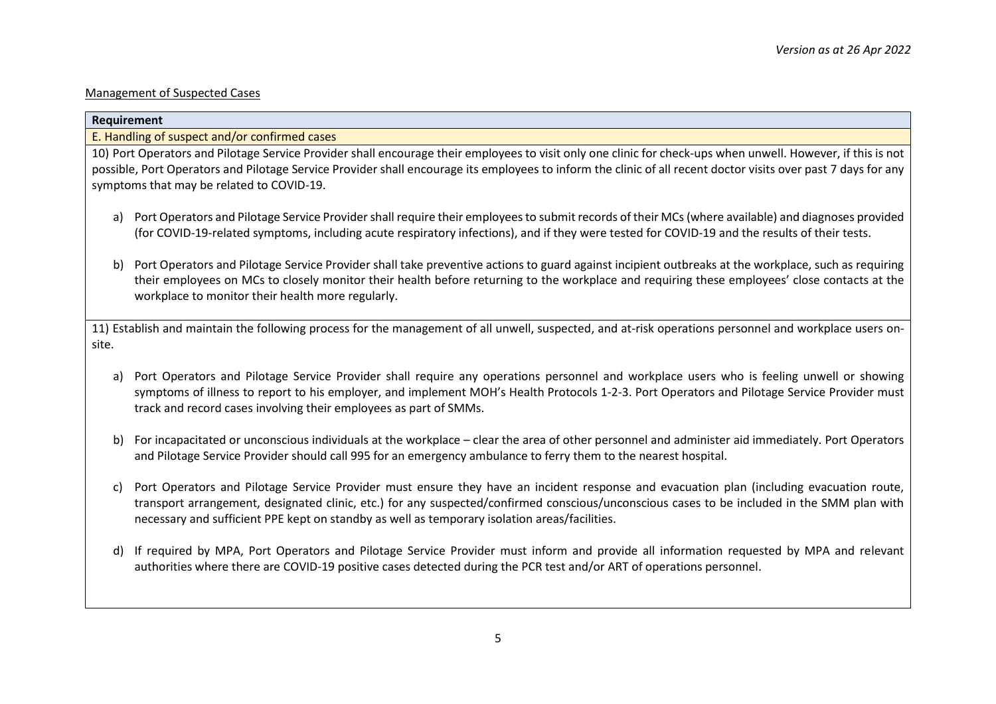### Management of Suspected Cases

#### **Requirement**

E. Handling of suspect and/or confirmed cases

10) Port Operators and Pilotage Service Provider shall encourage their employees to visit only one clinic for check-ups when unwell. However, if this is not possible, Port Operators and Pilotage Service Provider shall encourage its employees to inform the clinic of all recent doctor visits over past 7 days for any symptoms that may be related to COVID-19.

- a) Port Operators and Pilotage Service Provider shall require their employees to submit records of their MCs (where available) and diagnoses provided (for COVID-19-related symptoms, including acute respiratory infections), and if they were tested for COVID-19 and the results of their tests.
- b) Port Operators and Pilotage Service Provider shall take preventive actions to guard against incipient outbreaks at the workplace, such as requiring their employees on MCs to closely monitor their health before returning to the workplace and requiring these employees' close contacts at the workplace to monitor their health more regularly.

11) Establish and maintain the following process for the management of all unwell, suspected, and at-risk operations personnel and workplace users onsite.

- a) Port Operators and Pilotage Service Provider shall require any operations personnel and workplace users who is feeling unwell or showing symptoms of illness to report to his employer, and implement MOH's Health Protocols 1-2-3. Port Operators and Pilotage Service Provider must track and record cases involving their employees as part of SMMs.
- b) For incapacitated or unconscious individuals at the workplace clear the area of other personnel and administer aid immediately. Port Operators and Pilotage Service Provider should call 995 for an emergency ambulance to ferry them to the nearest hospital.
- c) Port Operators and Pilotage Service Provider must ensure they have an incident response and evacuation plan (including evacuation route, transport arrangement, designated clinic, etc.) for any suspected/confirmed conscious/unconscious cases to be included in the SMM plan with necessary and sufficient PPE kept on standby as well as temporary isolation areas/facilities.
- d) If required by MPA, Port Operators and Pilotage Service Provider must inform and provide all information requested by MPA and relevant authorities where there are COVID-19 positive cases detected during the PCR test and/or ART of operations personnel.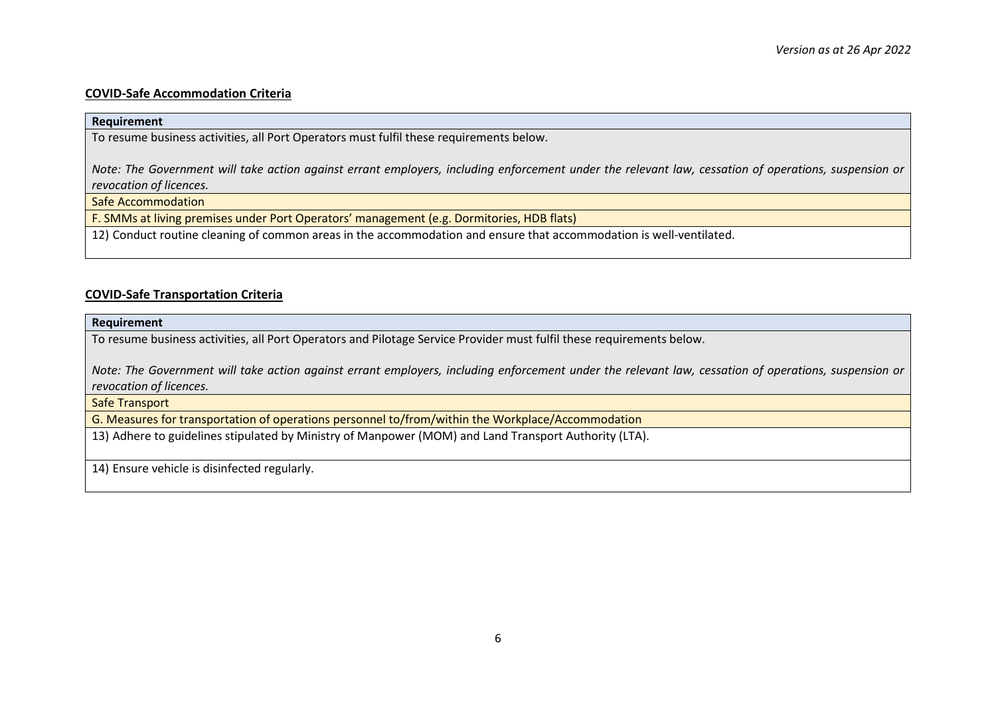## **COVID-Safe Accommodation Criteria**

#### **Requirement**

To resume business activities, all Port Operators must fulfil these requirements below.

*Note: The Government will take action against errant employers, including enforcement under the relevant law, cessation of operations, suspension or revocation of licences.*

Safe Accommodation

F. SMMs at living premises under Port Operators' management (e.g. Dormitories, HDB flats)

12) Conduct routine cleaning of common areas in the accommodation and ensure that accommodation is well-ventilated.

## **COVID-Safe Transportation Criteria**

**Requirement**

To resume business activities, all Port Operators and Pilotage Service Provider must fulfil these requirements below.

*Note: The Government will take action against errant employers, including enforcement under the relevant law, cessation of operations, suspension or revocation of licences.*

Safe Transport

G. Measures for transportation of operations personnel to/from/within the Workplace/Accommodation

13) Adhere to guidelines stipulated by Ministry of Manpower (MOM) and Land Transport Authority (LTA).

14) Ensure vehicle is disinfected regularly.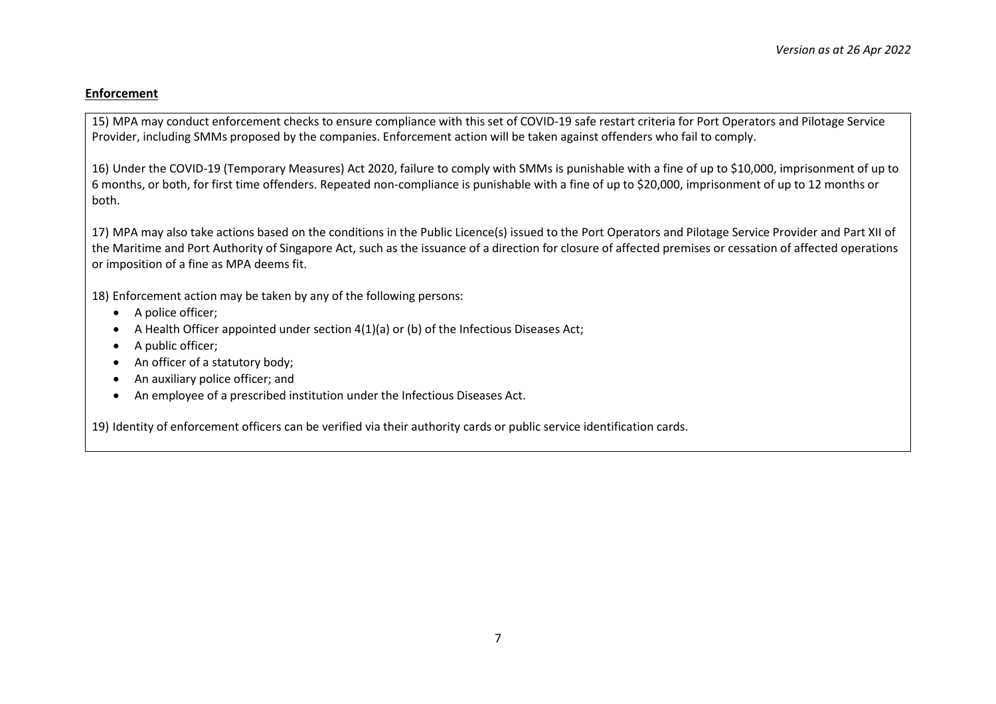## **Enforcement**

15) MPA may conduct enforcement checks to ensure compliance with this set of COVID-19 safe restart criteria for Port Operators and Pilotage Service Provider, including SMMs proposed by the companies. Enforcement action will be taken against offenders who fail to comply.

16) Under the COVID-19 (Temporary Measures) Act 2020, failure to comply with SMMs is punishable with a fine of up to \$10,000, imprisonment of up to 6 months, or both, for first time offenders. Repeated non-compliance is punishable with a fine of up to \$20,000, imprisonment of up to 12 months or both.

17) MPA may also take actions based on the conditions in the Public Licence(s) issued to the Port Operators and Pilotage Service Provider and Part XII of the Maritime and Port Authority of Singapore Act, such as the issuance of a direction for closure of affected premises or cessation of affected operations or imposition of a fine as MPA deems fit.

18) Enforcement action may be taken by any of the following persons:

- A police officer;
- A Health Officer appointed under section 4(1)(a) or (b) of the Infectious Diseases Act;
- A public officer;
- An officer of a statutory body;
- An auxiliary police officer; and
- An employee of a prescribed institution under the Infectious Diseases Act.

19) Identity of enforcement officers can be verified via their authority cards or public service identification cards.